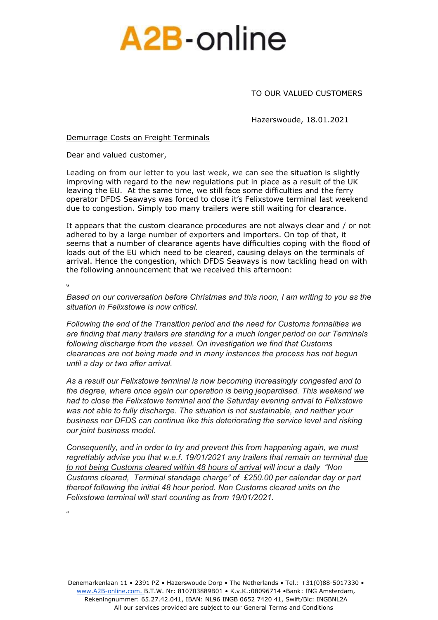

TO OUR VALUED CUSTOMERS

Hazerswoude, 18.01.2021

## Demurrage Costs on Freight Terminals

Dear and valued customer,

Leading on from our letter to you last week, we can see the situation is slightly improving with regard to the new regulations put in place as a result of the UK leaving the EU. At the same time, we still face some difficulties and the ferry operator DFDS Seaways was forced to close it's Felixstowe terminal last weekend due to congestion. Simply too many trailers were still waiting for clearance.

It appears that the custom clearance procedures are not always clear and / or not adhered to by a large number of exporters and importers. On top of that, it seems that a number of clearance agents have difficulties coping with the flood of loads out of the EU which need to be cleared, causing delays on the terminals of arrival. Hence the congestion, which DFDS Seaways is now tackling head on with the following announcement that we received this afternoon:

**"** 

"

*Based on our conversation before Christmas and this noon, I am writing to you as the situation in Felixstowe is now critical.*

*Following the end of the Transition period and the need for Customs formalities we are finding that many trailers are standing for a much longer period on our Terminals following discharge from the vessel. On investigation we find that Customs clearances are not being made and in many instances the process has not begun until a day or two after arrival.*

*As a result our Felixstowe terminal is now becoming increasingly congested and to the degree, where once again our operation is being jeopardised. This weekend we had to close the Felixstowe terminal and the Saturday evening arrival to Felixstowe was not able to fully discharge. The situation is not sustainable, and neither your business nor DFDS can continue like this deteriorating the service level and risking our joint business model.*

*Consequently, and in order to try and prevent this from happening again, we must regrettably advise you that w.e.f. 19/01/2021 any trailers that remain on terminal due to not being Customs cleared within 48 hours of arrival will incur a daily "Non Customs cleared, Terminal standage charge" of £250.00 per calendar day or part thereof following the initial 48 hour period. Non Customs cleared units on the Felixstowe terminal will start counting as from 19/01/2021.*

Denemarkenlaan 11 • 2391 PZ • Hazerswoude Dorp • The Netherlands • Tel.: +31(0)88-5017330 [•](http://www.a2b-online.com/) [www.A2B-online.com.](http://www.a2b-online.com/) B.T.W. Nr: 810703889B01 • K.v.K.:08096714 •Bank: ING Amsterdam, Rekeningnummer: 65.27.42.041, IBAN: NL96 INGB 0652 7420 41, Swift/Bic: INGBNL2A All our services provided are subject to our General Terms and Conditions